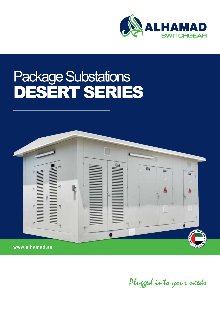

## Package Substations DESERT SERIES



Plugged into your needs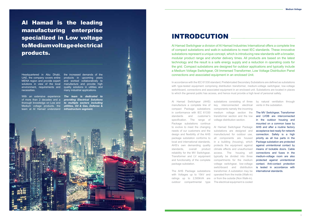Al Hamad is the leading manufacturing enterprise specialized in Low voltage to Medium voltage electrical products.

Headquartered in Abu Dhabi, the increased demands of the necessities.

UAE, the company covers entire products in upcoming years MENA region and provide expert and worked collaboratively to solutions in view of the local manufacture and provide high environment, requirements and quality solutions in utilities and many industrial applications.

人<br>「このこと」<br>「このこと」

With an extensive experience *The team is dedicated to*  of more than 2 decades and a *providing Electrical Solutions*  thorough knowledge on Low and *to multiple sectors including*  Medium voltage products, the *utilities, Oil & Gas, Defense &* 



team at Al Hamad understand *infrastructure segment.*

## INTRODCUTION

Al Hamad Switchgear a division of Al Hamad Industries International offers a complete line of compact substations and walk-in substations to meet IEC standards. These innovative substations represent a unique concept, which is introducing new standards with a broader, modular product range and shorter delivery times. All products are based on the latest technology and the result is a safe energy supply and a reduction in operating costs for the grid. Compact substations are designed for outdoor applications and typically include a Medium Voltage Switchgear, Oil Immersed Transformer, Low Voltage Distribution Panel connections and associated equipment in an enclosed Unit.

In accordance with the IEC 61330 standard, Prefabricated Secondary Substations are defined as substations with type-tested equipment comprising distribution transformer, medium-voltage switchgear, low-voltage switchboard, connections and associated equipment in an enclosed unit. Substations are located in places to which the general public has access, and hence must provide a high level of personal safety.

manufacture a complete line of compact Package substations in conformance with IEC 61330 standards and customer's specification. The range of Package substations continue needs of our customers and the design and flexibility of the AHS package substation conforms to local and international standards, AHS's own demanding quality standards, overall product reliability for the MV Switchgear, Transformer and LV equipment and functionality of the complete package substation.

Al Hamad Switchgear (AHS) substations consisting of three by natural ventilation through key interconnected electrical components namely the incoming medium voltage section the transformer section and the low voltage distribution section.

The AHS Package substations transformer. A substation may be with Voltages up to 15kV and ratings up to 2,500kVA are

to evolve to meet the changing Al Hamad Switchgear Package outdoor compartmental type The electrical equipment is cooled substations are designed and manufactured for outdoor use, all components are housed in a building (housing), which protects the equipment against climate effects and unauthorised access. The housing will typically be divided into three compartments for the medium voltage switchgear, low-voltage switchboard and distribution operated from the inside (Walk-in) or from the outside (Non Walk-in).

vents in the substation.

The MV Switchgear, Transformer and LVDB are interconnected in the outdoor housing and mounted on a common base by AHS and after a routine factory acceptance test ready for network connection. Safety is a high priority as all live parts in the Package substation are protected against unintentional contact by means of lockable doors. Cable connections and fuses in the medium-voltage room are also protected against unintentional contact. Anti-contact protection is tested in accordance with international standards.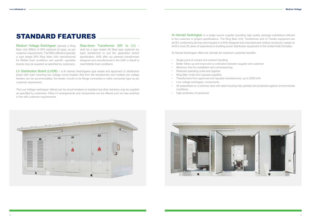## STANDARD FEATURES

Medium Voltage Switchgear typically a Ring Main Unit (RMU) of SF6 (optional oil type), as per customer requirements. The RMU offered is typically a type tested SF6 Ring Main Unit manufactured for Middle East conditions and specific reputable brands may be supplied as specified by customers.

Step-down Transformer (MV to LV) shall be a type tested Oil filled type (optional dry type) transformer to suit the application and/or specification. AHS offer our partners transformers designed and manufactured in the UAE or Saudi to meet Middle East conditions.

. . . . . . . . . . . . . . . . . . . .

Al Hamad Switchgear is a single source supplier providing high quality package substations tailored to the customer or project specifications. The Ring Main Unit, Transformer and LV Feeder equipment are all IEC conforming devices and housed in a AHS designed and manufactured outdoor enclosure, based on AHS's more 30 years of experience in building power distribution equipment in the United Arab Emirates.

LV Distribution Board (LVDB) - is Al Hamad Switchgears type tested and approved LV distribution board with main incoming low voltage circuit breaker (fed from the transformer) and multiple low voltage feeders can be accommodated, the feeder circuits to be flange connected or cable connected type as per customer requirement.

The Low Voltage switchgear offered can be circuit breakers or isolators but other solutions may be supplied as specified by customers. Other LV arrangements and components can be offered such as fuse switches in line with customer requirements.



Al Hamad Switchgear offers the ultimate for maximum customer benefits:

- Single point of contact and contract handling
- Better follow up and improved co-ordination between supplier and customer
- Minimum time for installation and commissioning
- Reduced operating costs and logistics
- Ring Main Units from reputed suppliers
- Transformers from approved and reputed manufacturers, up to 2500 kVA
- Low voltage switchgear, components.
- conditions.
- High protection of personnel



• All assembled on a common skid with steel housing fully painted and protected against environmental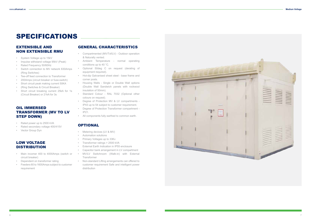#### EXTENSIBLE AND NON EXTENSIBLE RMU

# OIL IMMERSED TRANSFORMER (MV TO LV STEP DOWN) • System Voltage up to 15kV<br>• Impulse withstand voltage 95kV (Peak)<br>• Rated Frequency 50/60Hz<br>• Switch connection to MV network 630Amps<br>• Tee-off feed connection to Transformer<br>• 200Amps (circuit breaker or fuse-switch)<br>•

#### GENERAL CHARACTERISTICS

## LOW VOLTAGE

- 
- 
- 
- (Ring Switches)
- Tee-off feed connection to Transformer
- 200Amps (circuit breaker or fuse-switch)
- Short circuit peak making current 50KA
- (Ring Switches & Circuit Breaker)
- Short circuit breaking current 25kA for 1s (Circuit Breaker) or 21kA for 3s
- Compartmented (MV/Txf/LV) Outdoor operation & Naturally vented.
- Ambient Temperature normal operating conditions up to 40 °C.
- Optional 50deg C on request (derating of equipment required).
- Hot-dip Galvanised sheet steel base frame and corner posts.
- Housing Walls Single or Double Wall options (Double Wall Sandwich panels with rockwool insulation of 50mm).
- Standard Colour RAL 7032 (Optional other colours on request).
- Degree of Protection MV & LV compartments IP43 up to 54 subject to customer requirement.
- Degree of Protection Transformer compartment IP21.
- All components fully earthed to common earth.

#### **OPTIONAL**

- Metering devices (LV & MV)
- Automation solutions
- Primary Voltages up to 33Kv
- Transformer ratings > 2500 kVA
- External Earth Indication in IP55 enclosure
- Capacitor bank arrangement in LV compartment • MV/LV Switchroom (Walk-in) with External Transformer
- Non-standard Lifting arrangements can offered to customer requirement Safe and intelligent power distribution



- Rated power up to 2500 kVA
- Rated secondary voltage 400/415V
- Vector Group Dyn

- Main incomer 400 to 4000Amps (switch or circuit breaker)
- Dependent on transformer rating
- Feeders 60 to 1600Amps subject to customer requirement

## SPECIFICATIONS